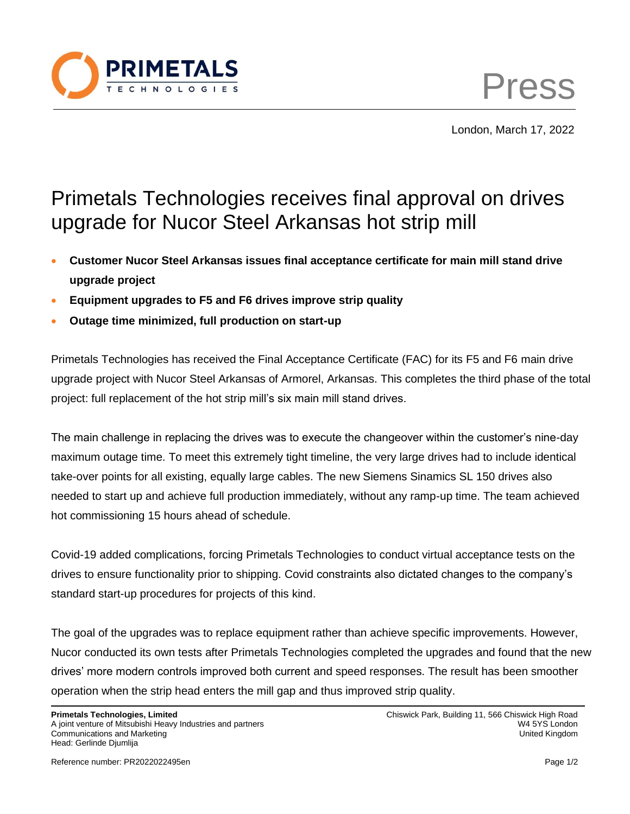

Press

London, March 17, 2022

## Primetals Technologies receives final approval on drives upgrade for Nucor Steel Arkansas hot strip mill

- **Customer Nucor Steel Arkansas issues final acceptance certificate for main mill stand drive upgrade project**
- **Equipment upgrades to F5 and F6 drives improve strip quality**
- **Outage time minimized, full production on start-up**

Primetals Technologies has received the Final Acceptance Certificate (FAC) for its F5 and F6 main drive upgrade project with Nucor Steel Arkansas of Armorel, Arkansas. This completes the third phase of the total project: full replacement of the hot strip mill's six main mill stand drives.

The main challenge in replacing the drives was to execute the changeover within the customer's nine-day maximum outage time. To meet this extremely tight timeline, the very large drives had to include identical take-over points for all existing, equally large cables. The new Siemens Sinamics SL 150 drives also needed to start up and achieve full production immediately, without any ramp-up time. The team achieved hot commissioning 15 hours ahead of schedule.

Covid-19 added complications, forcing Primetals Technologies to conduct virtual acceptance tests on the drives to ensure functionality prior to shipping. Covid constraints also dictated changes to the company's standard start-up procedures for projects of this kind.

The goal of the upgrades was to replace equipment rather than achieve specific improvements. However, Nucor conducted its own tests after Primetals Technologies completed the upgrades and found that the new drives' more modern controls improved both current and speed responses. The result has been smoother operation when the strip head enters the mill gap and thus improved strip quality.